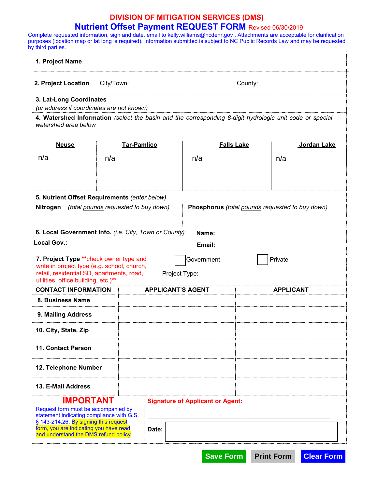## **DIVISION OF MITIGATION SERVICES (DMS) Nutrient Offset Payment REQUEST FORM** Revised 06/30/2019

Complete requested information, <u>sign and date,</u> email to <u>[kelly.williams@ncdenr.gov](mailto:kelly.williams@ncdenr.gov)</u> . Attachments are acceptable for clarification purposes (location map or lat long is required). Information submitted is subject to NC Public Records Law and may be requested by third parties.

| 1. Project Name                                                                                                                                                                                                      |                                      |                                                 |                   |  |                  |  |
|----------------------------------------------------------------------------------------------------------------------------------------------------------------------------------------------------------------------|--------------------------------------|-------------------------------------------------|-------------------|--|------------------|--|
| 2. Project Location<br>City/Town:                                                                                                                                                                                    |                                      |                                                 | County:           |  |                  |  |
| 3. Lat-Long Coordinates<br>(or address if coordinates are not known)                                                                                                                                                 |                                      |                                                 |                   |  |                  |  |
| 4. Watershed Information (select the basin and the corresponding 8-digit hydrologic unit code or special<br>watershed area below                                                                                     |                                      |                                                 |                   |  |                  |  |
| <b>Neuse</b>                                                                                                                                                                                                         | <b>Tar-Pamlico</b>                   |                                                 | <b>Falls Lake</b> |  | Jordan Lake      |  |
| n/a                                                                                                                                                                                                                  | n/a                                  |                                                 | n/a               |  | n/a              |  |
| 5. Nutrient Offset Requirements (enter below)                                                                                                                                                                        |                                      |                                                 |                   |  |                  |  |
| Nitrogen                                                                                                                                                                                                             | (total pounds requested to buy down) | Phosphorus (total pounds requested to buy down) |                   |  |                  |  |
| 6. Local Government Info. (i.e. City, Town or County)<br>Name:                                                                                                                                                       |                                      |                                                 |                   |  |                  |  |
| Local Gov.:<br>Email:                                                                                                                                                                                                |                                      |                                                 |                   |  |                  |  |
| 7. Project Type ** check owner type and<br>Private<br>Government<br>write in project type (e.g. school, church,<br>retail, residential SD, apartments, road,<br>Project Type:<br>utilities, office building, etc.)** |                                      |                                                 |                   |  |                  |  |
| <b>CONTACT INFORMATION</b>                                                                                                                                                                                           |                                      | <b>APPLICANT'S AGENT</b>                        |                   |  | <b>APPLICANT</b> |  |
| 8. Business Name                                                                                                                                                                                                     |                                      |                                                 |                   |  |                  |  |
| 9. Mailing Address                                                                                                                                                                                                   |                                      |                                                 |                   |  |                  |  |
| 10. City, State, Zip                                                                                                                                                                                                 |                                      |                                                 |                   |  |                  |  |
| <b>11. Contact Person</b>                                                                                                                                                                                            |                                      |                                                 |                   |  |                  |  |
| 12. Telephone Number                                                                                                                                                                                                 |                                      |                                                 |                   |  |                  |  |
| 13. E-Mail Address                                                                                                                                                                                                   |                                      |                                                 |                   |  |                  |  |
| IMPORTANT<br>Request form must be accompanied by<br>statement indicating compliance with G.S.<br>§ 143-214.26. By signing this request                                                                               |                                      | <b>Signature of Applicant or Agent:</b>         |                   |  |                  |  |
| form, you are indicating you have read<br>and understand the DMS refund policy.                                                                                                                                      |                                      | Date:                                           |                   |  |                  |  |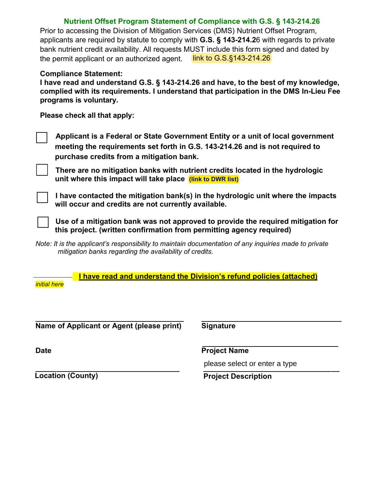## **Nutrient Offset Program Statement of Compliance with G.S. § 143-214.26**

Prior to accessing the Division of Mitigation Services (DMS) Nutrient Offset Program, applicants are required by statute to comply with **G.S. § 143-214.2**6 with regards to private bank nutrient credit availability. All requests MUST include this form signed and dated by the permit applicant or an authorized agent. link [to G.S.§143-214.26](https://www.ncleg.net/enactedlegislation/statutes/pdf/bysection/chapter_143/gs_143-214.26.pdf)

## **Compliance Statement:**

**I have read and understand G.S. § 143-214.26 and have, to the best of my knowledge, complied with its requirements. I understand that participation in the DMS In-Lieu Fee programs is voluntary.** 

**Please check all that apply:** 

**Applicant is a Federal or State Government Entity or a unit of local government meeting the requirements set forth in G.S. 143-214.26 and is not required to purchase credits from a mitigation bank.** 

**There are no mitigation banks with nutrient credits located in the hydrologic unit where this impact will take place [\(link to DWR list\)](https://deq.nc.gov/about/divisions/water-resources/water-quality-permitting/401-buffer-permitting-branch/nutrient)**

**I have contacted the mitigation bank(s) in the hydrologic unit where the impacts will occur and credits are not currently available.**

**Use of a mitigation bank was not approved to provide the required mitigation for this project. (written confirmation from permitting agency required)**

*Note: It is the applicant's responsibility to maintain documentation of any inquiries made to private mitigation banks regarding the availability of credits.*

**I have read and understand the Division's refund policies (attached)**

*initial here*

**Name of Applicant or Agent (please print) Signature**

**Date Project Name**

please select or enter a type

**Location** (County) **Project Description**